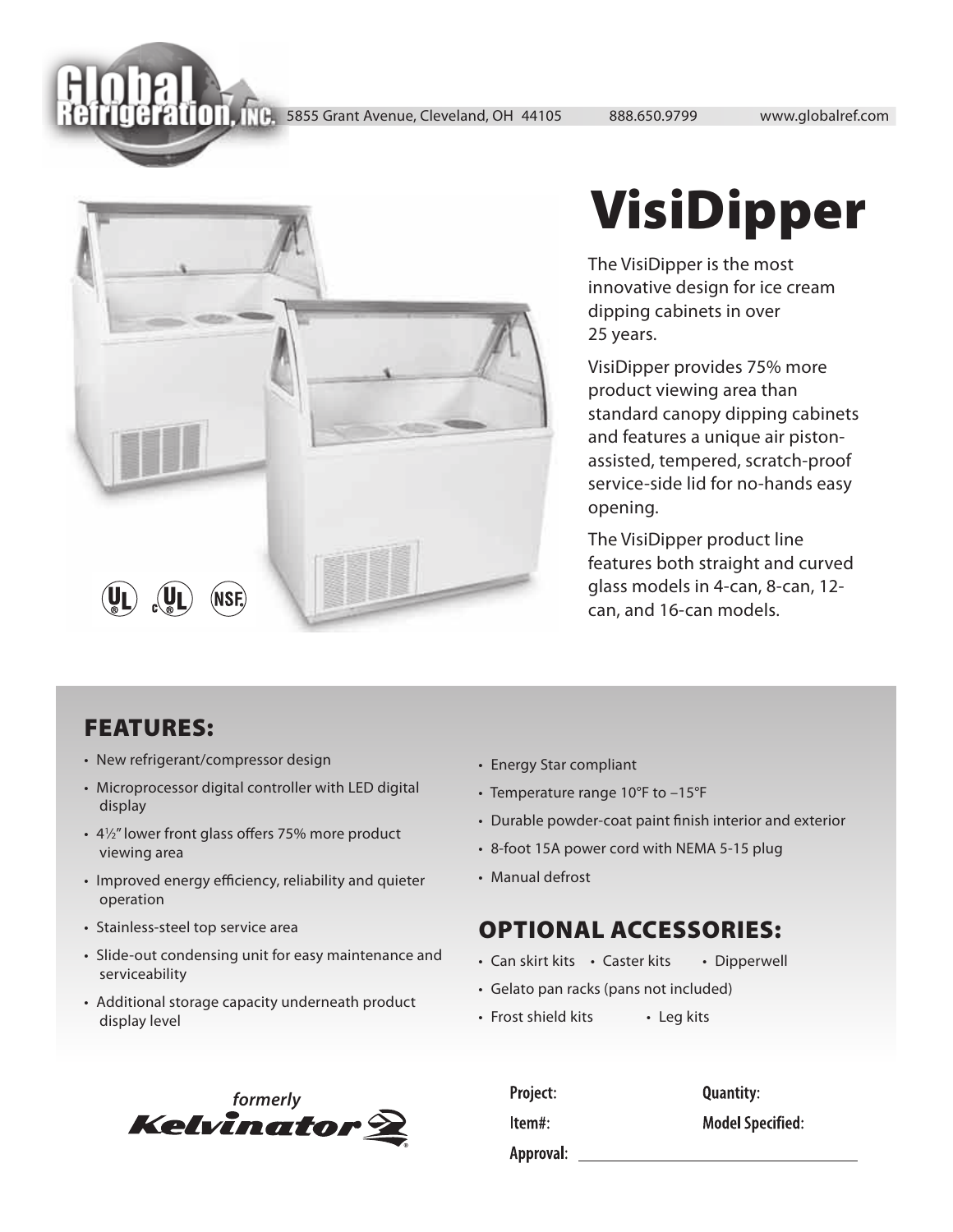5855 Grant Avenue, Cleveland, OH 44105 888.650.9799 www.globalref.com



## VisiDipper

The VisiDipper is the most innovative design for ice cream dipping cabinets in over 25 years.

VisiDipper provides 75% more product viewing area than standard canopy dipping cabinets and features a unique air pistonassisted, tempered, scratch-proof service-side lid for no-hands easy opening.

The VisiDipper product line features both straight and curved glass models in 4-can, 8-can, 12 can, and 16-can models.

## FEATURES:

- New refrigerant/compressor design
- Microprocessor digital controller with LED digital display
- $\cdot$  4 $\frac{1}{2}$ " lower front glass offers 75% more product viewing area
- Improved energy efficiency, reliability and quieter operation
- Stainless-steel top service area
- Slide-out condensing unit for easy maintenance and serviceability
- Additional storage capacity underneath product display level



- Energy Star compliant
- Temperature range 10°F to –15°F
- Durable powder-coat paint finish interior and exterior
- 8-foot 15A power cord with NEMA 5-15 plug
- Manual defrost

## OPTIONAL ACCESSORIES:

- Can skirt kits Caster kits Dipperwell
- Gelato pan racks (pans not included)
- Frost shield kits Leg kits

| Project:  | <b>Quantity:</b>        |
|-----------|-------------------------|
| Item#:    | <b>Model Specified:</b> |
| Approval: |                         |